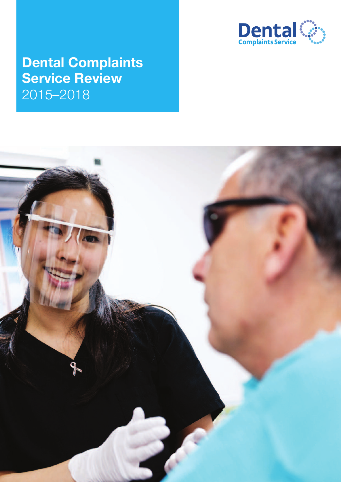

# **Dental Complaints Service Review** 2015–2018

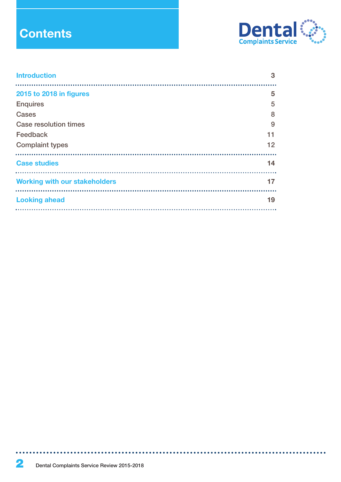# **Contents**



\*\*\*\*\*\*\*\*\*\*\*\*\*\*\*\*\*\*\*\*\*\*\*\*\*\*\*\*\*\*\*\*\*\*\*

| <b>Introduction</b>                  | 3  |
|--------------------------------------|----|
| 2015 to 2018 in figures              | 5  |
| <b>Enquires</b>                      | 5  |
| Cases                                | 8  |
| <b>Case resolution times</b>         | 9  |
| Feedback                             | 11 |
| <b>Complaint types</b>               | 12 |
| <b>Case studies</b>                  | 14 |
| <b>Working with our stakeholders</b> | 17 |
| <b>Looking ahead</b>                 | 19 |
|                                      |    |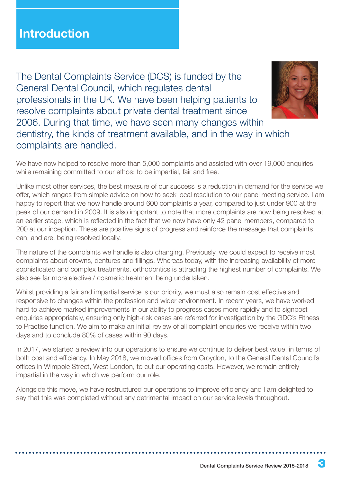## **Introduction**

The Dental Complaints Service (DCS) is funded by the General Dental Council, which regulates dental professionals in the UK. We have been helping patients to resolve complaints about private dental treatment since 2006. During that time, we have seen many changes within dentistry, the kinds of treatment available, and in the way in which complaints are handled.



We have now helped to resolve more than 5,000 complaints and assisted with over 19,000 enquiries, while remaining committed to our ethos: to be impartial, fair and free.

Unlike most other services, the best measure of our success is a reduction in demand for the service we offer, which ranges from simple advice on how to seek local resolution to our panel meeting service. I am happy to report that we now handle around 600 complaints a year, compared to just under 900 at the peak of our demand in 2009. It is also important to note that more complaints are now being resolved at an earlier stage, which is reflected in the fact that we now have only 42 panel members, compared to 200 at our inception. These are positive signs of progress and reinforce the message that complaints can, and are, being resolved locally.

The nature of the complaints we handle is also changing. Previously, we could expect to receive most complaints about crowns, dentures and fillings. Whereas today, with the increasing availability of more sophisticated and complex treatments, orthodontics is attracting the highest number of complaints. We also see far more elective / cosmetic treatment being undertaken.

Whilst providing a fair and impartial service is our priority, we must also remain cost effective and responsive to changes within the profession and wider environment. In recent years, we have worked hard to achieve marked improvements in our ability to progress cases more rapidly and to signpost enquiries appropriately, ensuring only high-risk cases are referred for investigation by the GDC's Fitness to Practise function. We aim to make an initial review of all complaint enquiries we receive within two days and to conclude 80% of cases within 90 days.

In 2017, we started a review into our operations to ensure we continue to deliver best value, in terms of both cost and efficiency. In May 2018, we moved offices from Croydon, to the General Dental Council's offices in Wimpole Street, West London, to cut our operating costs. However, we remain entirely impartial in the way in which we perform our role.

Alongside this move, we have restructured our operations to improve efficiency and I am delighted to say that this was completed without any detrimental impact on our service levels throughout.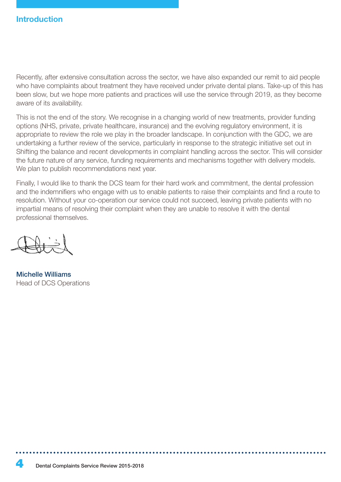## **Introduction**

Recently, after extensive consultation across the sector, we have also expanded our remit to aid people who have complaints about treatment they have received under private dental plans. Take-up of this has been slow, but we hope more patients and practices will use the service through 2019, as they become aware of its availability.

This is not the end of the story. We recognise in a changing world of new treatments, provider funding options (NHS, private, private healthcare, insurance) and the evolving regulatory environment, it is appropriate to review the role we play in the broader landscape. In conjunction with the GDC, we are undertaking a further review of the service, particularly in response to the strategic initiative set out in Shifting the balance and recent developments in complaint handling across the sector. This will consider the future nature of any service, funding requirements and mechanisms together with delivery models. We plan to publish recommendations next year.

Finally, I would like to thank the DCS team for their hard work and commitment, the dental profession and the indemnifiers who engage with us to enable patients to raise their complaints and find a route to resolution. Without your co-operation our service could not succeed, leaving private patients with no impartial means of resolving their complaint when they are unable to resolve it with the dental professional themselves.

Michelle Williams Head of DCS Operations

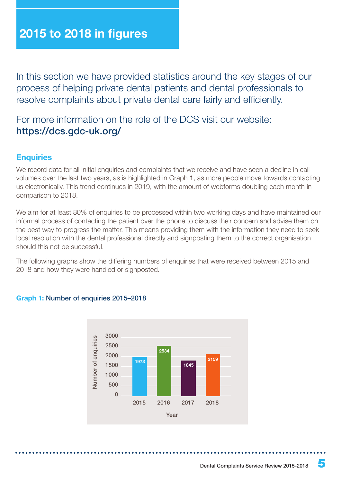In this section we have provided statistics around the key stages of our process of helping private dental patients and dental professionals to resolve complaints about private dental care fairly and efficiently.

For more information on the role of the DCS visit our website: https://dcs.gdc-uk.org/

## **Enquiries**

We record data for all initial enquiries and complaints that we receive and have seen a decline in call volumes over the last two years, as is highlighted in Graph 1, as more people move towards contacting us electronically. This trend continues in 2019, with the amount of webforms doubling each month in comparison to 2018.

We aim for at least 80% of enquiries to be processed within two working days and have maintained our informal process of contacting the patient over the phone to discuss their concern and advise them on the best way to progress the matter. This means providing them with the information they need to seek local resolution with the dental professional directly and signposting them to the correct organisation should this not be successful.

The following graphs show the differing numbers of enquiries that were received between 2015 and 2018 and how they were handled or signposted.



#### **Graph 1:** Number of enquiries 2015–2018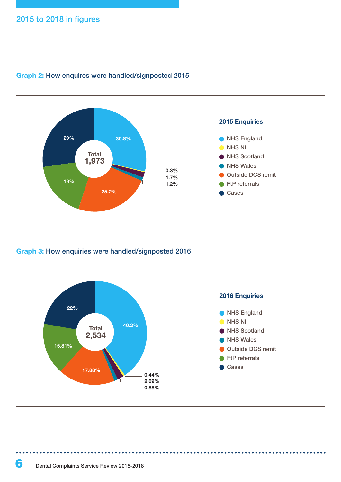

#### **Graph 2:** How enquires were handled/signposted 2015

#### **Graph 3:** How enquiries were handled/signposted 2016

![](_page_5_Figure_4.jpeg)

. . . . . . .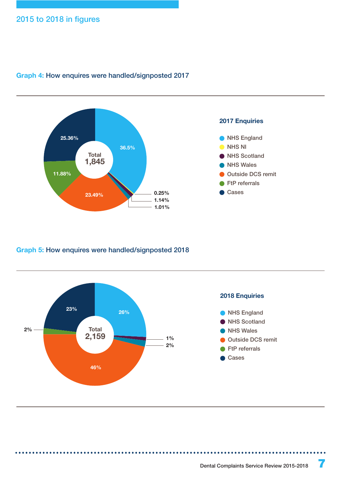![](_page_6_Figure_1.jpeg)

#### **Graph 4:** How enquires were handled/signposted 2017

#### **Graph 5:** How enquires were handled/signposted 2018

. . . . . . .

![](_page_6_Figure_4.jpeg)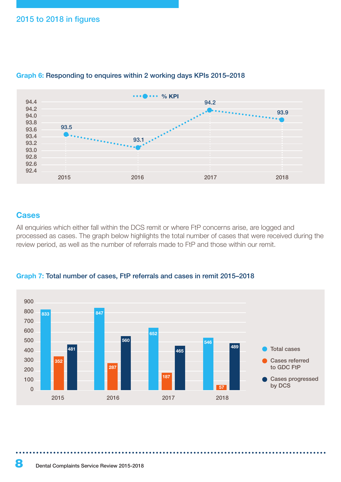![](_page_7_Figure_1.jpeg)

#### **Graph 6:** Responding to enquires within 2 working days KPIs 2015–2018

#### **Cases**

All enquiries which either fall within the DCS remit or where FtP concerns arise, are logged and processed as cases. The graph below highlights the total number of cases that were received during the review period, as well as the number of referrals made to FtP and those within our remit.

![](_page_7_Figure_5.jpeg)

**Graph 7:** Total number of cases, FtP referrals and cases in remit 2015–2018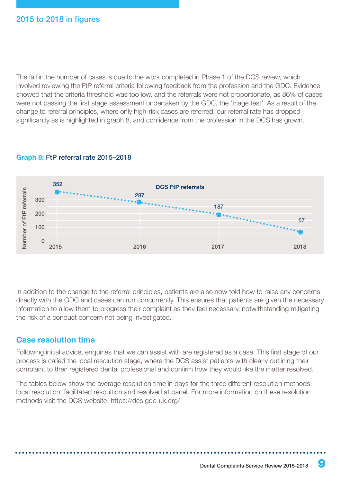The fall in the number of cases is due to the work completed in Phase 1 of the DCS review, which involved reviewing the FtP referral criteria following feedback from the profession and the GDC. Evidence showed that the criteria threshold was too low, and the referrals were not proportionate, as 86% of cases were not passing the first stage assessment undertaken by the GDC, the 'triage test'. As a result of the change to referral principles, where only high-risk cases are referred, our referral rate has dropped significantly as is highlighted in graph 8, and confidence from the profession in the DCS has grown.

![](_page_8_Figure_2.jpeg)

#### **Graph 8:** FtP referral rate 2015–2018

In addition to the change to the referral principles, patients are also now told how to raise any concerns directly with the GDC and cases can run concurrently. This ensures that patients are given the necessary information to allow them to progress their complaint as they feel necessary, notwithstanding mitigating the risk of a conduct concern not being investigated.

## **Case resolution time**

Following initial advice, enquiries that we can assist with are registered as a case. This first stage of our process is called the local resolution stage, where the DCS assist patients with clearly outlining their complaint to their registered dental professional and confirm how they would like the matter resolved.

The tables below show the average resolution time in days for the three different resolution methods: local resolution, facilitated resoultion and resolved at panel. For more information on these resolution methods visit the DCS website: https://dcs.gdc-uk.org/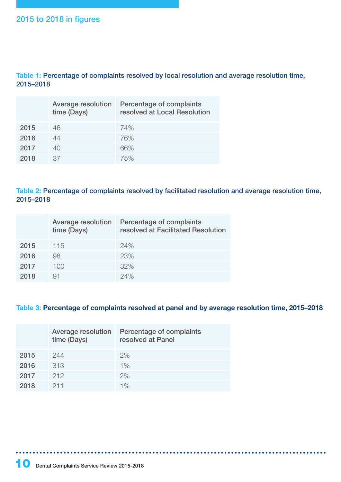**Table 1:** Percentage of complaints resolved by local resolution and average resolution time, 2015–2018

|      | <b>Average resolution</b><br>time (Days) | Percentage of complaints<br>resolved at Local Resolution |
|------|------------------------------------------|----------------------------------------------------------|
| 2015 | 46                                       | 74%                                                      |
| 2016 | 44                                       | 76%                                                      |
| 2017 | 40                                       | 66%                                                      |
| 2018 | 37                                       | 75%                                                      |

**Table 2:** Percentage of complaints resolved by facilitated resolution and average resolution time, 2015–2018

|      | Average resolution<br>time (Days) | Percentage of complaints<br>resolved at Facilitated Resolution |
|------|-----------------------------------|----------------------------------------------------------------|
| 2015 | 115                               | 24%                                                            |
| 2016 | 98                                | 23%                                                            |
| 2017 | 100                               | 32%                                                            |
| 2018 | 91                                | 24%                                                            |

#### **Table 3: Percentage of complaints resolved at panel and by average resolution time, 2015–2018**

|      | Average resolution<br>time (Days) | Percentage of complaints<br>resolved at Panel |
|------|-----------------------------------|-----------------------------------------------|
| 2015 | 244                               | $2\%$                                         |
| 2016 | 313                               | 1%                                            |
| 2017 | 212                               | 2%                                            |
| 2018 | 211                               | $1\%$                                         |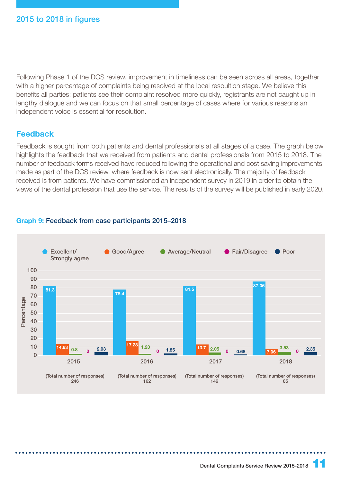Following Phase 1 of the DCS review, improvement in timeliness can be seen across all areas, together with a higher percentage of complaints being resolved at the local resoultion stage. We believe this benefits all parties; patients see their complaint resolved more quickly, registrants are not caught up in lengthy dialogue and we can focus on that small percentage of cases where for various reasons an independent voice is essential for resolution.

## **Feedback**

Feedback is sought from both patients and dental professionals at all stages of a case. The graph below highlights the feedback that we received from patients and dental professionals from 2015 to 2018. The number of feedback forms received have reduced following the operational and cost saving improvements made as part of the DCS review, where feedback is now sent electronically. The majority of feedback received is from patients. We have commissioned an independent survey in 2019 in order to obtain the views of the dental profession that use the service. The results of the survey will be published in early 2020.

### **Graph 9:** Feedback from case participants 2015–2018

![](_page_10_Figure_5.jpeg)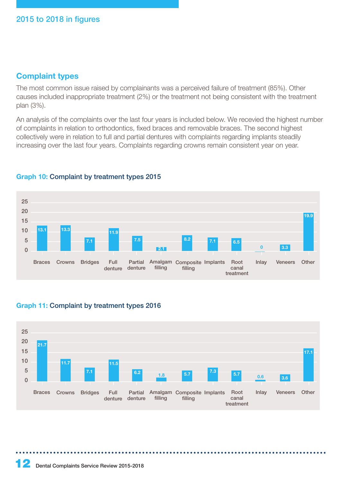## **Complaint types**

The most common issue raised by complainants was a perceived failure of treatment (85%). Other causes included inappropriate treatment (2%) or the treatment not being consistent with the treatment plan (3%).

An analysis of the complaints over the last four years is included below. We recevied the highest number of complaints in relation to orthodontics, fixed braces and removable braces. The second highest collectively were in relation to full and partial dentures with complaints regarding implants steadily increasing over the last four years. Complaints regarding crowns remain consistent year on year.

![](_page_11_Figure_4.jpeg)

## **Graph 10:** Complaint by treatment types 2015

#### **Graph 11:** Complaint by treatment types 2016

![](_page_11_Figure_7.jpeg)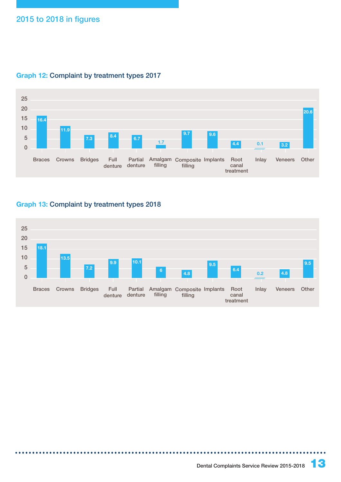![](_page_12_Figure_1.jpeg)

#### **Graph 12:** Complaint by treatment types 2017

### **Graph 13:** Complaint by treatment types 2018

. . . . . . . . . . . . .

![](_page_12_Figure_4.jpeg)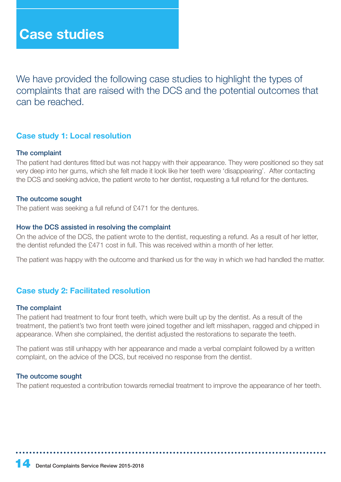We have provided the following case studies to highlight the types of complaints that are raised with the DCS and the potential outcomes that can be reached.

## **Case study 1: Local resolution**

#### The complaint

The patient had dentures fitted but was not happy with their appearance. They were positioned so they sat very deep into her gums, which she felt made it look like her teeth were 'disappearing'. After contacting the DCS and seeking advice, the patient wrote to her dentist, requesting a full refund for the dentures.

#### The outcome sought

The patient was seeking a full refund of £471 for the dentures.

#### How the DCS assisted in resolving the complaint

On the advice of the DCS, the patient wrote to the dentist, requesting a refund. As a result of her letter, the dentist refunded the £471 cost in full. This was received within a month of her letter.

The patient was happy with the outcome and thanked us for the way in which we had handled the matter.

## **Case study 2: Facilitated resolution**

#### The complaint

The patient had treatment to four front teeth, which were built up by the dentist. As a result of the treatment, the patient's two front teeth were joined together and left misshapen, ragged and chipped in appearance. When she complained, the dentist adjusted the restorations to separate the teeth.

The patient was still unhappy with her appearance and made a verbal complaint followed by a written complaint, on the advice of the DCS, but received no response from the dentist.

#### The outcome sought

The patient requested a contribution towards remedial treatment to improve the appearance of her teeth.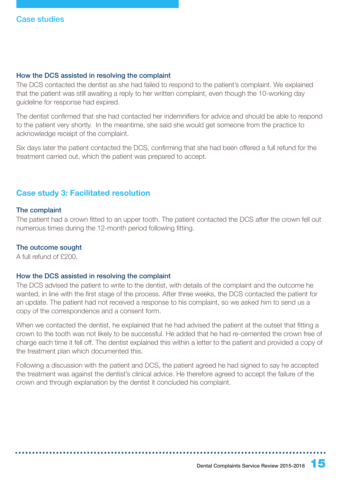#### How the DCS assisted in resolving the complaint

The DCS contacted the dentist as she had failed to respond to the patient's complaint. We explained that the patient was still awaiting a reply to her written complaint, even though the 10-working day guideline for response had expired.

The dentist confirmed that she had contacted her indemnifiers for advice and should be able to respond to the patient very shortly. In the meantime, she said she would get someone from the practice to acknowledge receipt of the complaint.

Six days later the patient contacted the DCS, confirming that she had been offered a full refund for the treatment carried out, which the patient was prepared to accept.

## **Case study 3: Facilitated resolution**

#### The complaint

The patient had a crown fitted to an upper tooth. The patient contacted the DCS after the crown fell out numerous times during the 12-month period following fitting.

#### The outcome sought

A full refund of £200.

#### How the DCS assisted in resolving the complaint

The DCS advised the patient to write to the dentist, with details of the complaint and the outcome he wanted, in line with the first stage of the process. After three weeks, the DCS contacted the patient for an update. The patient had not received a response to his complaint, so we asked him to send us a copy of the correspondence and a consent form.

When we contacted the dentist, he explained that he had advised the patient at the outset that fitting a crown to the tooth was not likely to be successful. He added that he had re-cemented the crown free of charge each time it fell off. The dentist explained this within a letter to the patient and provided a copy of the treatment plan which documented this.

Following a discussion with the patient and DCS, the patient agreed he had signed to say he accepted the treatment was against the dentist's clinical advice. He therefore agreed to accept the failure of the crown and through explanation by the dentist it concluded his complaint.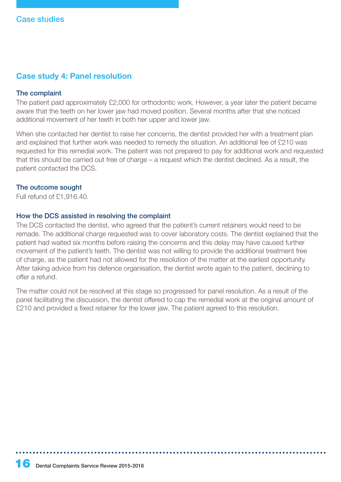## **Case study 4: Panel resolution**

#### The complaint

The patient paid approximately £2,000 for orthodontic work. However, a year later the patient became aware that the teeth on her lower jaw had moved position. Several months after that she noticed additional movement of her teeth in both her upper and lower jaw.

When she contacted her dentist to raise her concerns, the dentist provided her with a treatment plan and explained that further work was needed to remedy the situation. An additional fee of £210 was requested for this remedial work. The patient was not prepared to pay for additional work and requested that this should be carried out free of charge – a request which the dentist declined. As a result, the patient contacted the DCS.

#### The outcome sought

Full refund of £1,916.40.

#### How the DCS assisted in resolving the complaint

The DCS contacted the dentist, who agreed that the patient's current retainers would need to be remade. The additional charge requested was to cover laboratory costs. The dentist explained that the patient had waited six months before raising the concerns and this delay may have caused further movement of the patient's teeth. The dentist was not willing to provide the additional treatment free of charge, as the patient had not allowed for the resolution of the matter at the earliest opportunity. After taking advice from his defence organisation, the dentist wrote again to the patient, declining to offer a refund.

The matter could not be resolved at this stage so progressed for panel resolution. As a result of the panel facilitating the discussion, the dentist offered to cap the remedial work at the original amount of £210 and provided a fixed retainer for the lower jaw. The patient agreed to this resolution.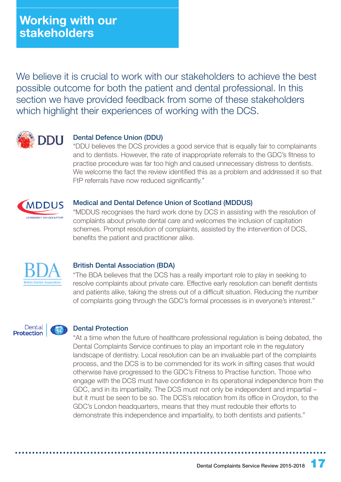We believe it is crucial to work with our stakeholders to achieve the best possible outcome for both the patient and dental professional. In this section we have provided feedback from some of these stakeholders which highlight their experiences of working with the DCS.

![](_page_16_Picture_2.jpeg)

#### Dental Defence Union (DDU)

"DDU believes the DCS provides a good service that is equally fair to complainants and to dentists. However, the rate of inappropriate referrals to the GDC's fitness to practise procedure was far too high and caused unnecessary distress to dentists. We welcome the fact the review identified this as a problem and addressed it so that FtP referrals have now reduced significantly."

![](_page_16_Picture_5.jpeg)

#### Medical and Dental Defence Union of Scotland (MDDUS)

"MDDUS recognises the hard work done by DCS in assisting with the resolution of complaints about private dental care and welcomes the inclusion of capitation schemes. Prompt resolution of complaints, assisted by the intervention of DCS, benefits the patient and practitioner alike.

![](_page_16_Picture_8.jpeg)

#### British Dental Association (BDA)

"The BDA believes that the DCS has a really important role to play in seeking to resolve complaints about private care. Effective early resolution can benefit dentists and patients alike, taking the stress out of a difficult situation. Reducing the number of complaints going through the GDC's formal processes is in everyone's interest."

![](_page_16_Picture_11.jpeg)

#### Dental Protection

"At a time when the future of healthcare professional regulation is being debated, the Dental Complaints Service continues to play an important role in the regulatory landscape of dentistry. Local resolution can be an invaluable part of the complaints process, and the DCS is to be commended for its work in sifting cases that would otherwise have progressed to the GDC's Fitness to Practise function. Those who engage with the DCS must have confidence in its operational independence from the GDC, and in its impartiality. The DCS must not only be independent and impartial – but it must be seen to be so. The DCS's relocation from its office in Croydon, to the GDC's London headquarters, means that they must redouble their efforts to demonstrate this independence and impartiality, to both dentists and patients."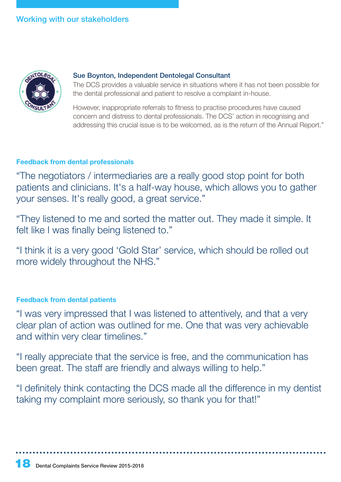## Working with our stakeholders

![](_page_17_Picture_1.jpeg)

#### Sue Boynton, Independent Dentolegal Consultant

The DCS provides a valuable service in situations where it has not been possible for the dental professional and patient to resolve a complaint in-house.

However, inappropriate referrals to fitness to practise procedures have caused concern and distress to dental professionals. The DCS' action in recognising and addressing this crucial issue is to be welcomed, as is the return of the Annual Report."

#### **Feedback from dental professionals**

"The negotiators / intermediaries are a really good stop point for both patients and clinicians. It's a half-way house, which allows you to gather your senses. It's really good, a great service."

"They listened to me and sorted the matter out. They made it simple. It felt like I was finally being listened to."

"I think it is a very good 'Gold Star' service, which should be rolled out more widely throughout the NHS."

## **Feedback from dental patients**

"I was very impressed that I was listened to attentively, and that a very clear plan of action was outlined for me. One that was very achievable and within very clear timelines."

"I really appreciate that the service is free, and the communication has been great. The staff are friendly and always willing to help."

"I definitely think contacting the DCS made all the difference in my dentist taking my complaint more seriously, so thank you for that!"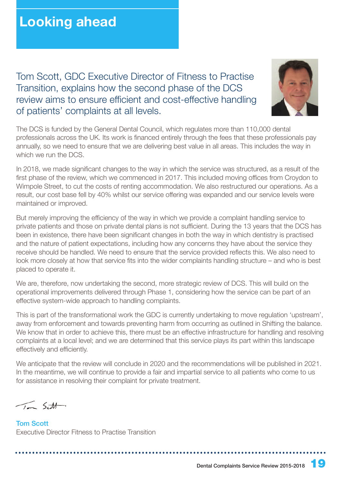Tom Scott, GDC Executive Director of Fitness to Practise Transition, explains how the second phase of the DCS review aims to ensure efficient and cost-effective handling of patients' complaints at all levels.

![](_page_18_Picture_2.jpeg)

The DCS is funded by the General Dental Council, which regulates more than 110,000 dental professionals across the UK. Its work is financed entirely through the fees that these professionals pay annually, so we need to ensure that we are delivering best value in all areas. This includes the way in which we run the DCS

In 2018, we made significant changes to the way in which the service was structured, as a result of the first phase of the review, which we commenced in 2017. This included moving offices from Croydon to Wimpole Street, to cut the costs of renting accommodation. We also restructured our operations. As a result, our cost base fell by 40% whilst our service offering was expanded and our service levels were maintained or improved.

But merely improving the efficiency of the way in which we provide a complaint handling service to private patients and those on private dental plans is not sufficient. During the 13 years that the DCS has been in existence, there have been significant changes in both the way in which dentistry is practised and the nature of patient expectations, including how any concerns they have about the service they receive should be handled. We need to ensure that the service provided reflects this. We also need to look more closely at how that service fits into the wider complaints handling structure – and who is best placed to operate it.

We are, therefore, now undertaking the second, more strategic review of DCS. This will build on the operational improvements delivered through Phase 1, considering how the service can be part of an effective system-wide approach to handling complaints.

This is part of the transformational work the GDC is currently undertaking to move regulation 'upstream', away from enforcement and towards preventing harm from occurring as outlined in Shifting the balance. We know that in order to achieve this, there must be an effective infrastructure for handling and resolving complaints at a local level; and we are determined that this service plays its part within this landscape effectively and efficiently.

We anticipate that the review will conclude in 2020 and the recommendations will be published in 2021. In the meantime, we will continue to provide a fair and impartial service to all patients who come to us for assistance in resolving their complaint for private treatment.

 $\sqrt{5}$ 

Tom Scott Executive Director Fitness to Practise Transition